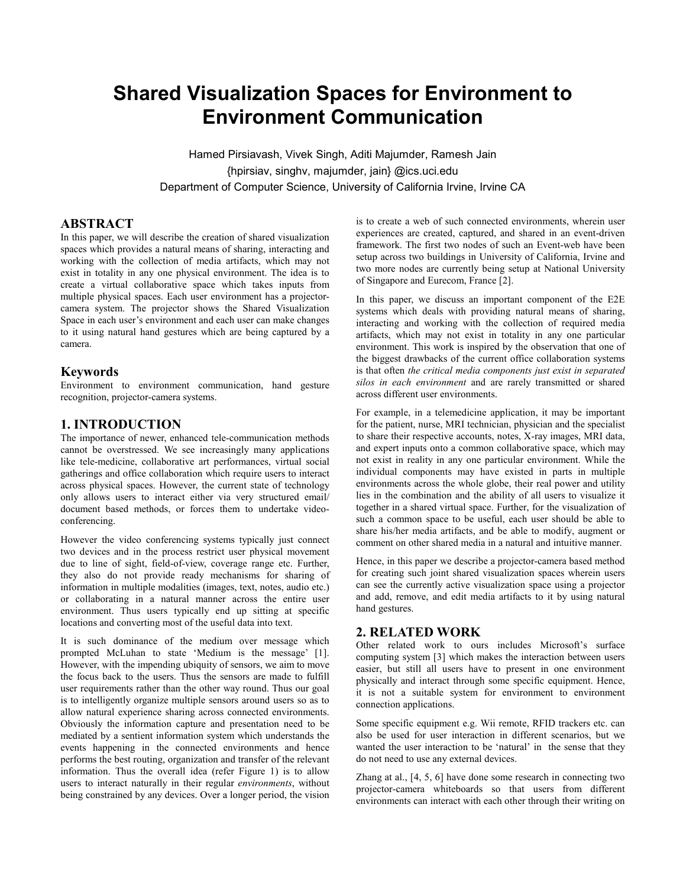# **Shared Visualization Spaces for Environment to Environment Communication**

Hamed Pirsiavash, Vivek Singh, Aditi Majumder, Ramesh Jain {hpirsiav, singhv, majumder, jain} @ics.uci.edu Department of Computer Science, University of California Irvine, Irvine CA

# **ABSTRACT**

In this paper, we will describe the creation of shared visualization spaces which provides a natural means of sharing, interacting and working with the collection of media artifacts, which may not exist in totality in any one physical environment. The idea is to create a virtual collaborative space which takes inputs from multiple physical spaces. Each user environment has a projectorcamera system. The projector shows the Shared Visualization Space in each user's environment and each user can make changes to it using natural hand gestures which are being captured by a camera.

#### **Keywords**

Environment to environment communication, hand gesture recognition, projector-camera systems.

## **1. INTRODUCTION**

The importance of newer, enhanced tele-communication methods cannot be overstressed. We see increasingly many applications like tele-medicine, collaborative art performances, virtual social gatherings and office collaboration which require users to interact across physical spaces. However, the current state of technology only allows users to interact either via very structured email/ document based methods, or forces them to undertake videoconferencing.

However the video conferencing systems typically just connect two devices and in the process restrict user physical movement due to line of sight, field-of-view, coverage range etc. Further, they also do not provide ready mechanisms for sharing of information in multiple modalities (images, text, notes, audio etc.) or collaborating in a natural manner across the entire user environment. Thus users typically end up sitting at specific locations and converting most of the useful data into text.

It is such dominance of the medium over message which prompted McLuhan to state 'Medium is the message' [1]. However, with the impending ubiquity of sensors, we aim to move the focus back to the users. Thus the sensors are made to fulfill user requirements rather than the other way round. Thus our goal is to intelligently organize multiple sensors around users so as to allow natural experience sharing across connected environments. Obviously the information capture and presentation need to be mediated by a sentient information system which understands the events happening in the connected environments and hence performs the best routing, organization and transfer of the relevant information. Thus the overall idea (refer Figure 1) is to allow users to interact naturally in their regular *environments*, without being constrained by any devices. Over a longer period, the vision

is to create a web of such connected environments, wherein user experiences are created, captured, and shared in an event-driven framework. The first two nodes of such an Event-web have been setup across two buildings in University of California, Irvine and two more nodes are currently being setup at National University of Singapore and Eurecom, France [2].

In this paper, we discuss an important component of the E2E systems which deals with providing natural means of sharing, interacting and working with the collection of required media artifacts, which may not exist in totality in any one particular environment. This work is inspired by the observation that one of the biggest drawbacks of the current office collaboration systems is that often *the critical media components just exist in separated silos in each environment* and are rarely transmitted or shared across different user environments.

For example, in a telemedicine application, it may be important for the patient, nurse, MRI technician, physician and the specialist to share their respective accounts, notes, X-ray images, MRI data, and expert inputs onto a common collaborative space, which may not exist in reality in any one particular environment. While the individual components may have existed in parts in multiple environments across the whole globe, their real power and utility lies in the combination and the ability of all users to visualize it together in a shared virtual space. Further, for the visualization of such a common space to be useful, each user should be able to share his/her media artifacts, and be able to modify, augment or comment on other shared media in a natural and intuitive manner.

Hence, in this paper we describe a projector-camera based method for creating such joint shared visualization spaces wherein users can see the currently active visualization space using a projector and add, remove, and edit media artifacts to it by using natural hand gestures.

## **2. RELATED WORK**

Other related work to ours includes Microsoft's surface computing system [3] which makes the interaction between users easier, but still all users have to present in one environment physically and interact through some specific equipment. Hence, it is not a suitable system for environment to environment connection applications.

Some specific equipment e.g. Wii remote, RFID trackers etc. can also be used for user interaction in different scenarios, but we wanted the user interaction to be 'natural' in the sense that they do not need to use any external devices.

Zhang at al., [4, 5, 6] have done some research in connecting two projector-camera whiteboards so that users from different environments can interact with each other through their writing on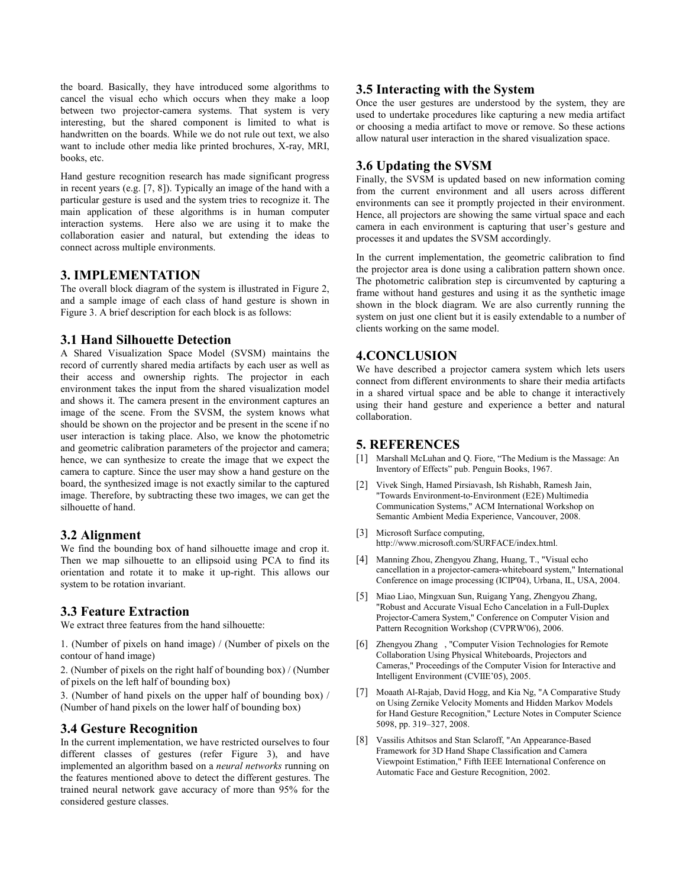the board. Basically, they have introduced some algorithms to cancel the visual echo which occurs when they make a loop between two projector-camera systems. That system is very interesting, but the shared component is limited to what is handwritten on the boards. While we do not rule out text, we also want to include other media like printed brochures, X-ray, MRI, books, etc.

Hand gesture recognition research has made significant progress in recent years (e.g. [7, 8]). Typically an image of the hand with a particular gesture is used and the system tries to recognize it. The main application of these algorithms is in human computer interaction systems. Here also we are using it to make the collaboration easier and natural, but extending the ideas to connect across multiple environments.

# **3. IMPLEMENTATION**

The overall block diagram of the system is illustrated in Figure 2, and a sample image of each class of hand gesture is shown in Figure 3. A brief description for each block is as follows:

## **3.1 Hand Silhouette Detection**

A Shared Visualization Space Model (SVSM) maintains the record of currently shared media artifacts by each user as well as their access and ownership rights. The projector in each environment takes the input from the shared visualization model and shows it. The camera present in the environment captures an image of the scene. From the SVSM, the system knows what should be shown on the projector and be present in the scene if no user interaction is taking place. Also, we know the photometric and geometric calibration parameters of the projector and camera; hence, we can synthesize to create the image that we expect the camera to capture. Since the user may show a hand gesture on the board, the synthesized image is not exactly similar to the captured image. Therefore, by subtracting these two images, we can get the silhouette of hand.

#### **3.2 Alignment**

We find the bounding box of hand silhouette image and crop it. Then we map silhouette to an ellipsoid using PCA to find its orientation and rotate it to make it up-right. This allows our system to be rotation invariant.

## **3.3 Feature Extraction**

We extract three features from the hand silhouette:

1. (Number of pixels on hand image) / (Number of pixels on the contour of hand image)

2. (Number of pixels on the right half of bounding box) / (Number of pixels on the left half of bounding box)

3. (Number of hand pixels on the upper half of bounding box) / (Number of hand pixels on the lower half of bounding box)

## **3.4 Gesture Recognition**

In the current implementation, we have restricted ourselves to four different classes of gestures (refer Figure 3), and have implemented an algorithm based on a *neural networks* running on the features mentioned above to detect the different gestures. The trained neural network gave accuracy of more than 95% for the considered gesture classes.

#### **3.5 Interacting with the System**

Once the user gestures are understood by the system, they are used to undertake procedures like capturing a new media artifact or choosing a media artifact to move or remove. So these actions allow natural user interaction in the shared visualization space.

## **3.6 Updating the SVSM**

Finally, the SVSM is updated based on new information coming from the current environment and all users across different environments can see it promptly projected in their environment. Hence, all projectors are showing the same virtual space and each camera in each environment is capturing that user's gesture and processes it and updates the SVSM accordingly.

In the current implementation, the geometric calibration to find the projector area is done using a calibration pattern shown once. The photometric calibration step is circumvented by capturing a frame without hand gestures and using it as the synthetic image shown in the block diagram. We are also currently running the system on just one client but it is easily extendable to a number of clients working on the same model.

#### **4.CONCLUSION**

We have described a projector camera system which lets users connect from different environments to share their media artifacts in a shared virtual space and be able to change it interactively using their hand gesture and experience a better and natural collaboration.

#### **5. REFERENCES**

- [1] Marshall McLuhan and Q. Fiore, "The Medium is the Massage: An Inventory of Effects" pub. Penguin Books, 1967.
- [2] Vivek Singh, Hamed Pirsiavash, Ish Rishabh, Ramesh Jain, "Towards Environment-to-Environment (E2E) Multimedia Communication Systems," ACM International Workshop on Semantic Ambient Media Experience, Vancouver, 2008.
- [3] Microsoft Surface computing, http://www.microsoft.com/SURFACE/index.html.
- [4] Manning Zhou, Zhengyou Zhang, Huang, T., "Visual echo cancellation in a projector-camera-whiteboard system," International Conference on image processing (ICIP'04), Urbana, IL, USA, 2004.
- [5] Miao Liao, Mingxuan Sun, Ruigang Yang, Zhengyou Zhang, "Robust and Accurate Visual Echo Cancelation in a Full-Duplex Projector-Camera System," Conference on Computer Vision and Pattern Recognition Workshop (CVPRW'06), 2006.
- [6] Zhengyou Zhang , "Computer Vision Technologies for Remote Collaboration Using Physical Whiteboards, Projectors and Cameras," Proceedings of the Computer Vision for Interactive and Intelligent Environment (CVIIE'05), 2005.
- [7] Moaath Al-Rajab, David Hogg, and Kia Ng, "A Comparative Study on Using Zernike Velocity Moments and Hidden Markov Models for Hand Gesture Recognition," Lecture Notes in Computer Science 5098, pp. 319–327, 2008.
- [8] Vassilis Athitsos and Stan Sclaroff, "An Appearance-Based Framework for 3D Hand Shape Classification and Camera Viewpoint Estimation," Fifth IEEE International Conference on Automatic Face and Gesture Recognition, 2002.